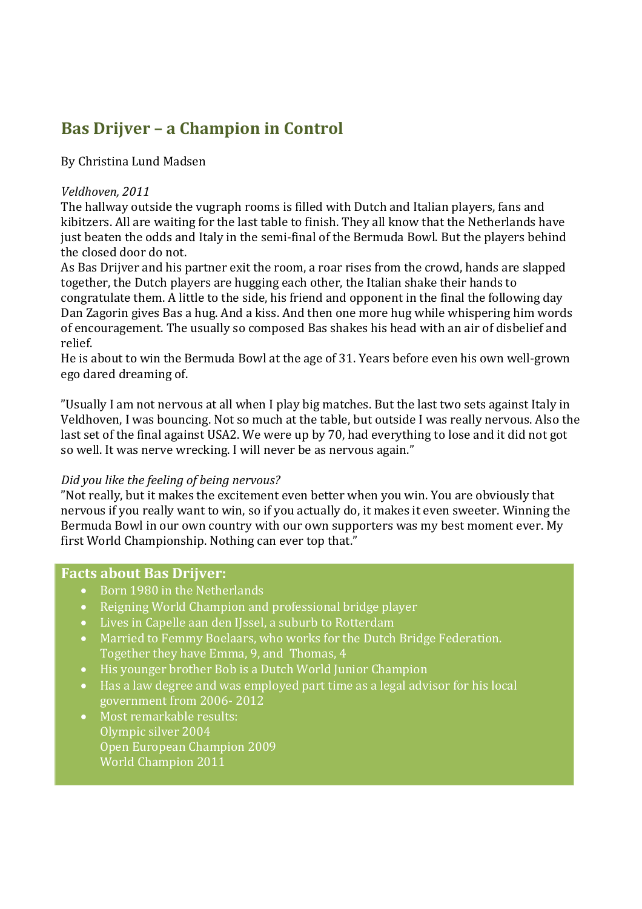# **Bas Drijver – a Champion in Control**

# By Christina Lund Madsen

## *Veldhoven, 2011*

The hallway outside the vugraph rooms is filled with Dutch and Italian players, fans and kibitzers. All are waiting for the last table to finish. They all know that the Netherlands have just beaten the odds and Italy in the semi-final of the Bermuda Bowl. But the players behind the closed door do not.

As Bas Drijver and his partner exit the room, a roar rises from the crowd, hands are slapped together, the Dutch players are hugging each other, the Italian shake their hands to congratulate them. A little to the side, his friend and opponent in the final the following day Dan Zagorin gives Bas a hug. And a kiss. And then one more hug while whispering him words of encouragement. The usually so composed Bas shakes his head with an air of disbelief and relief.

He is about to win the Bermuda Bowl at the age of 31. Years before even his own well-grown ego dared dreaming of.

"Usually I am not nervous at all when I play big matches. But the last two sets against Italy in Veldhoven, I was bouncing. Not so much at the table, but outside I was really nervous. Also the last set of the final against USA2. We were up by 70, had everything to lose and it did not got so well. It was nerve wrecking. I will never be as nervous again."

## *Did you like the feeling of being nervous?*

"Not really, but it makes the excitement even better when you win. You are obviously that nervous if you really want to win, so if you actually do, it makes it even sweeter. Winning the Bermuda Bowl in our own country with our own supporters was my best moment ever. My first World Championship. Nothing can ever top that."

## **Facts about Bas Drijver:**

- Born 1980 in the Netherlands
- Reigning World Champion and professional bridge player
- Lives in [Capelle aan den IJssel,](https://www.facebook.com/pages/Capelle-aan-den-IJssel/105958866102328?ref=br_rs) a suburb to Rotterdam
- Married to Femmy Boelaars, who works for the Dutch Bridge Federation. Together they have Emma, 9, and Thomas, 4
- His younger brother Bob is a Dutch World Junior Champion
- Has a law degree and was employed part time as a legal advisor for his local government from 2006- 2012
- Most remarkable results: Olympic silver 2004 Open European Champion 2009 World Champion 2011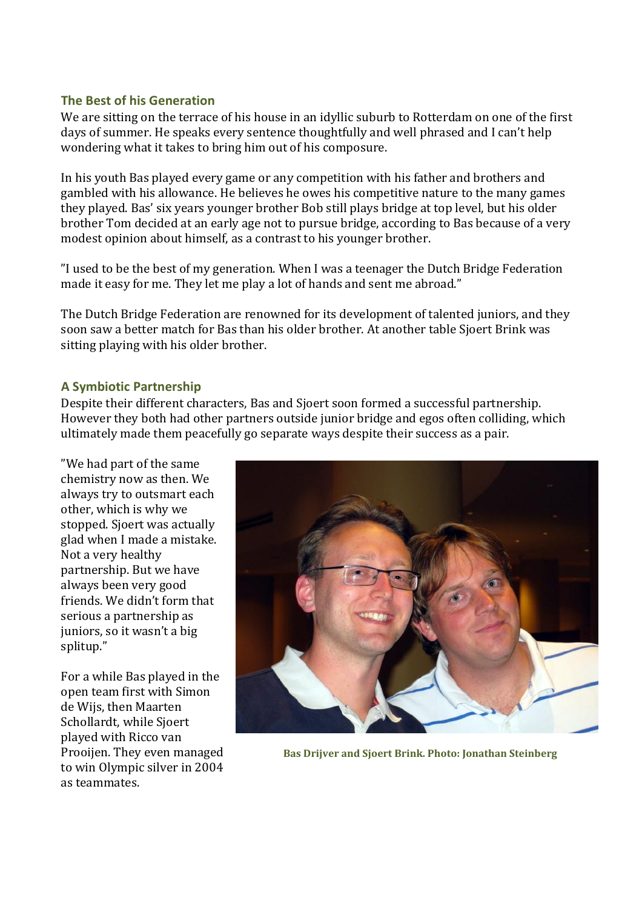## **The Best of his Generation**

We are sitting on the terrace of his house in an idyllic suburb to Rotterdam on one of the first days of summer. He speaks every sentence thoughtfully and well phrased and I can't help wondering what it takes to bring him out of his composure.

In his youth Bas played every game or any competition with his father and brothers and gambled with his allowance. He believes he owes his competitive nature to the many games they played. Bas' six years younger brother Bob still plays bridge at top level, but his older brother Tom decided at an early age not to pursue bridge, according to Bas because of a very modest opinion about himself, as a contrast to his younger brother.

"I used to be the best of my generation. When I was a teenager the Dutch Bridge Federation made it easy for me. They let me play a lot of hands and sent me abroad."

The Dutch Bridge Federation are renowned for its development of talented juniors, and they soon saw a better match for Bas than his older brother. At another table Sjoert Brink was sitting playing with his older brother.

#### **A Symbiotic Partnership**

Despite their different characters, Bas and Sjoert soon formed a successful partnership. However they both had other partners outside junior bridge and egos often colliding, which ultimately made them peacefully go separate ways despite their success as a pair.

"We had part of the same chemistry now as then. We always try to outsmart each other, which is why we stopped. Sjoert was actually glad when I made a mistake. Not a very healthy partnership. But we have always been very good friends. We didn't form that serious a partnership as juniors, so it wasn't a big splitup."

For a while Bas played in the open team first with Simon de Wijs, then Maarten Schollardt, while Sjoert played with Ricco van Prooijen. They even managed to win Olympic silver in 2004 as teammates.



**Bas Drijver and Sjoert Brink. Photo: Jonathan Steinberg**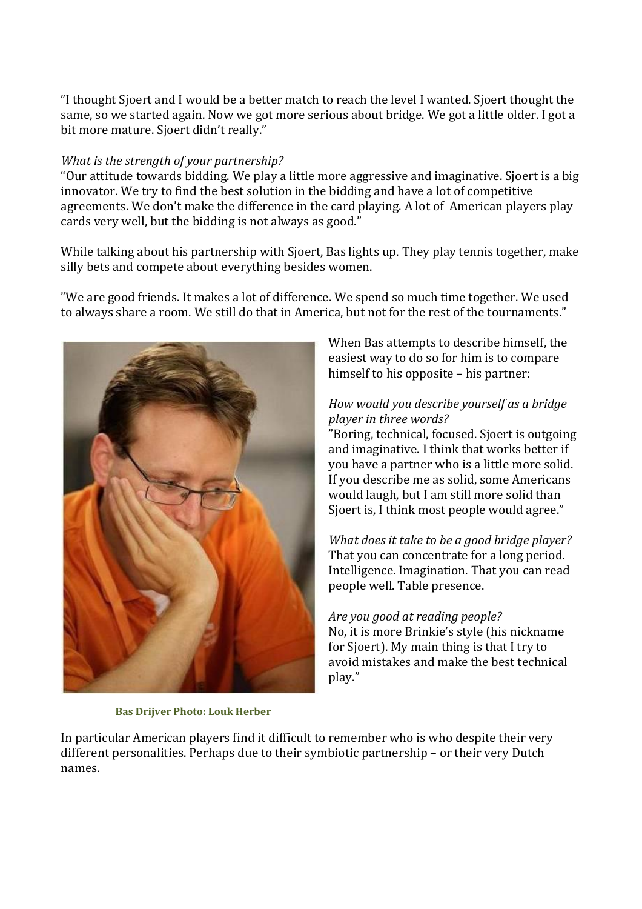"I thought Sjoert and I would be a better match to reach the level I wanted. Sjoert thought the same, so we started again. Now we got more serious about bridge. We got a little older. I got a bit more mature. Sjoert didn't really."

## *What is the strength of your partnership?*

"Our attitude towards bidding. We play a little more aggressive and imaginative. Sjoert is a big innovator. We try to find the best solution in the bidding and have a lot of competitive agreements. We don't make the difference in the card playing. A lot of American players play cards very well, but the bidding is not always as good."

While talking about his partnership with Sjoert, Bas lights up. They play tennis together, make silly bets and compete about everything besides women.

"We are good friends. It makes a lot of difference. We spend so much time together. We used to always share a room. We still do that in America, but not for the rest of the tournaments."



**Bas Drijver Photo: Louk Herber**

When Bas attempts to describe himself, the easiest way to do so for him is to compare himself to his opposite – his partner:

# *How would you describe yourself as a bridge player in three words?*

"Boring, technical, focused. Sjoert is outgoing and imaginative. I think that works better if you have a partner who is a little more solid. If you describe me as solid, some Americans would laugh, but I am still more solid than Sjoert is, I think most people would agree."

*What does it take to be a good bridge player?* That you can concentrate for a long period. Intelligence. Imagination. That you can read people well. Table presence.

*Are you good at reading people?*  No, it is more Brinkie's style (his nickname for Sjoert). My main thing is that I try to avoid mistakes and make the best technical play."

In particular American players find it difficult to remember who is who despite their very different personalities. Perhaps due to their symbiotic partnership – or their very Dutch names.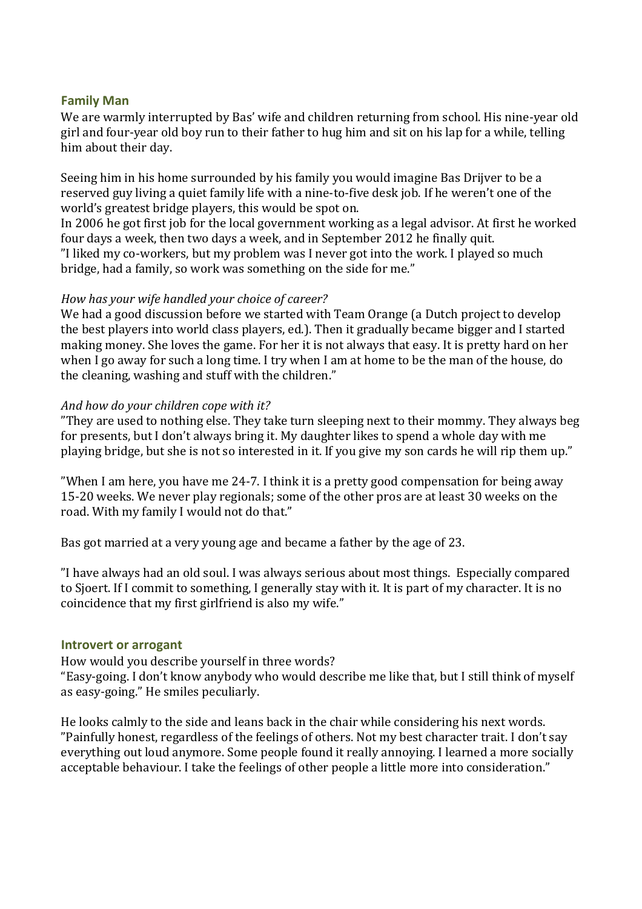## **Family Man**

We are warmly interrupted by Bas' wife and children returning from school. His nine-year old girl and four-year old boy run to their father to hug him and sit on his lap for a while, telling him about their day.

Seeing him in his home surrounded by his family you would imagine Bas Drijver to be a reserved guy living a quiet family life with a nine-to-five desk job. If he weren't one of the world's greatest bridge players, this would be spot on.

In 2006 he got first job for the local government working as a legal advisor. At first he worked four days a week, then two days a week, and in September 2012 he finally quit. "I liked my co-workers, but my problem was I never got into the work. I played so much bridge, had a family, so work was something on the side for me."

#### *How has your wife handled your choice of career?*

We had a good discussion before we started with Team Orange (a Dutch project to develop the best players into world class players, ed.). Then it gradually became bigger and I started making money. She loves the game. For her it is not always that easy. It is pretty hard on her when I go away for such a long time. I try when I am at home to be the man of the house, do the cleaning, washing and stuff with the children."

#### *And how do your children cope with it?*

"They are used to nothing else. They take turn sleeping next to their mommy. They always beg for presents, but I don't always bring it. My daughter likes to spend a whole day with me playing bridge, but she is not so interested in it. If you give my son cards he will rip them up."

"When I am here, you have me 24-7. I think it is a pretty good compensation for being away 15-20 weeks. We never play regionals; some of the other pros are at least 30 weeks on the road. With my family I would not do that."

Bas got married at a very young age and became a father by the age of 23.

"I have always had an old soul. I was always serious about most things. Especially compared to Sjoert. If I commit to something, I generally stay with it. It is part of my character. It is no coincidence that my first girlfriend is also my wife."

#### **Introvert or arrogant**

How would you describe yourself in three words?

"Easy-going. I don't know anybody who would describe me like that, but I still think of myself as easy-going." He smiles peculiarly.

He looks calmly to the side and leans back in the chair while considering his next words. "Painfully honest, regardless of the feelings of others. Not my best character trait. I don't say everything out loud anymore. Some people found it really annoying. I learned a more socially acceptable behaviour. I take the feelings of other people a little more into consideration."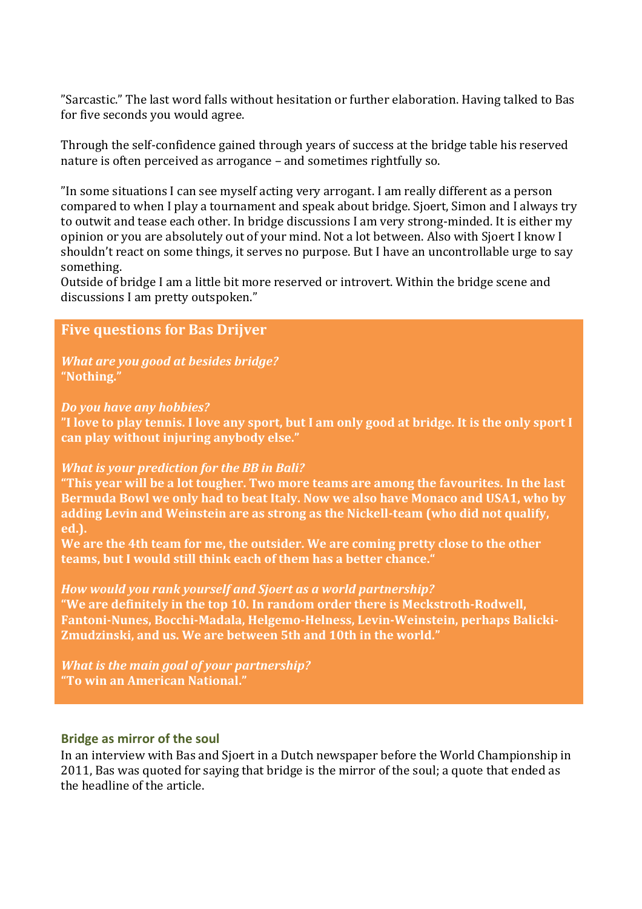"Sarcastic." The last word falls without hesitation or further elaboration. Having talked to Bas for five seconds you would agree.

Through the self-confidence gained through years of success at the bridge table his reserved nature is often perceived as arrogance – and sometimes rightfully so.

"In some situations I can see myself acting very arrogant. I am really different as a person compared to when I play a tournament and speak about bridge. Sjoert, Simon and I always try to outwit and tease each other. In bridge discussions I am very strong-minded. It is either my opinion or you are absolutely out of your mind. Not a lot between. Also with Sjoert I know I shouldn't react on some things, it serves no purpose. But I have an uncontrollable urge to say something.

Outside of bridge I am a little bit more reserved or introvert. Within the bridge scene and discussions I am pretty outspoken."

# **Five questions for Bas Drijver**

*What are you good at besides bridge?* **"Nothing."**

*Do you have any hobbies?*

**"I love to play tennis. I love any sport, but I am only good at bridge. It is the only sport I can play without injuring anybody else."**

#### *What is your prediction for the BB in Bali?*

**"This year will be a lot tougher. Two more teams are among the favourites. In the last Bermuda Bowl we only had to beat Italy. Now we also have Monaco and USA1, who by adding Levin and Weinstein are as strong as the Nickell-team (who did not qualify, ed.).**

**We are the 4th team for me, the outsider. We are coming pretty close to the other teams, but I would still think each of them has a better chance."**

#### *How would you rank yourself and Sjoert as a world partnership?*

**"We are definitely in the top 10. In random order there is Meckstroth-Rodwell, Fantoni-Nunes, Bocchi-Madala, Helgemo-Helness, Levin-Weinstein, perhaps Balicki-Zmudzinski, and us. We are between 5th and 10th in the world."**

*What is the main goal of your partnership?* **"To win an American National."**

#### **Bridge as mirror of the soul**

In an interview with Bas and Sjoert in a Dutch newspaper before the World Championship in 2011, Bas was quoted for saying that bridge is the mirror of the soul; a quote that ended as the headline of the article.